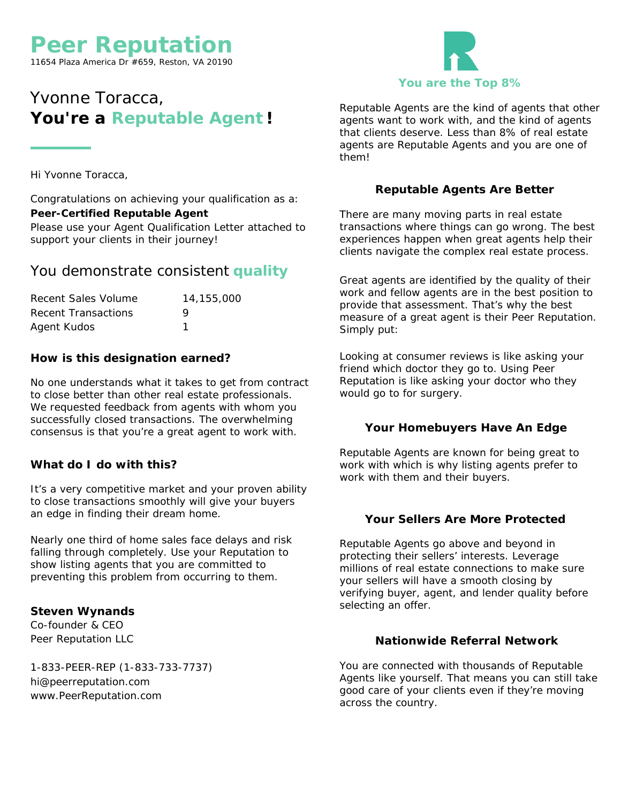## **Peer Reputation**

11654 Plaza America Dr #659, Reston, VA 20190

## Yvonne Toracca, You're a Reputable Agent!

Hi Yvonne Toracca,

Congratulations on achieving your qualification as a: **Peer-Certified Reputable Agent** Please use your Agent Qualification Letter attached to support your clients in their journey!

#### You demonstrate consistent **quality**

| Recent Sales Volume | 14,155,000 |
|---------------------|------------|
| Recent Transactions | Q          |
| Agent Kudos         |            |

**How is this designation earned?**

No one understands what it takes to get from contract to close better than other real estate professionals. We requested feedback from agents with whom you successfully closed transactions. The overwhelming consensus is that you're <sup>a</sup> great agent to work with.

**What do I do with this?**

It's <sup>a</sup> very competitive market and your proven ability to close transactions smoothly will give your buyers an edge in finding their dream home.

Nearly one third of home sales face delays and risk falling through completely. Use your Reputation to show listing agents that you are committed to preventing this problem from occurring to them.

**Steven Wynands** Co-founder & CEO Peer Reputation LLC

1-833-PEER-REP (1-833-733-7737) hi@peerreputation.com www.PeerReputation.com

# **You are the Top 8%**

Reputable Agents are the kind of agents that other agents want to work with, and the kind of agents that clients deserve. Less than 8% of real estate agents are Reputable Agents and you are one of them!

#### **Reputable Agents Are Better**

There are many moving parts in real estate transactions where things can go wrong. The best experiences happen when great agents help their clients navigate the complex real estate process.

Great agents are identified by the quality of their work and fellow agents are in the best position to provide that assessment. That's why the best measure of <sup>a</sup> great agent is their Peer Reputation. Simply put:

*Looking at consumer reviews is like asking your friend which doctor they go to. Using Peer Reputation is like asking your doctor who they would go to for surgery.*

#### **Your Homebuyers Have An Edge**

Reputable Agents are known for being great to work with which is why listing agents prefer to work with them and their buyers.

#### **Your Sellers Are More Protected**

Reputable Agents go above and beyond in protecting their sellers' interests. Leverage millions of real estate connections to make sure your sellers will have <sup>a</sup> smooth closing by verifying buyer, agent, and lender quality before selecting an offer.

**Nationwide Referral Network**

You are connected with thousands of Reputable Agents like yourself. That means you can still take good care of your clients even if they're moving across the country.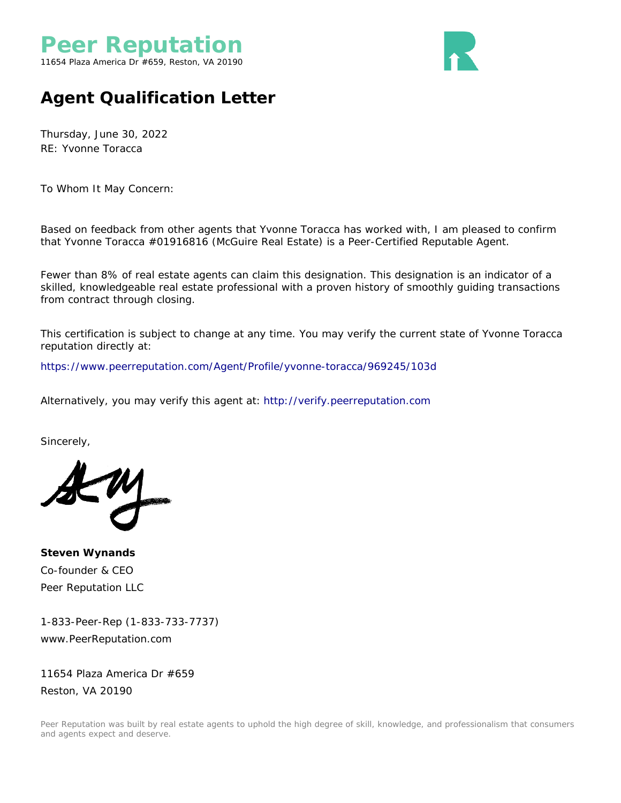

## **Agent Qualification Letter**

Thursday, June 30, 2022 RE: Yvonne Toracca

To Whom It May Concern:

Based on feedback from other agents that Yvonne Toracca has worked with, I am pleased to confirm that Yvonne Toracca #01916816 (McGuire Real Estate) is <sup>a</sup> Peer-Certified Reputable Agent.

Fewer than 8% of real estate agents can claim this designation. This designation is an indicator of <sup>a</sup> skilled, knowledgeable real estate professional with <sup>a</sup> proven history of smoothly guiding transactions from contract through closing.

This certification is subject to change at any time. You may verify the current state of Yvonne Toracca reputation directly at:

<https://www.peerreputation.com/Agent/Profile/yvonne-toracca/969245/103d>

Alternatively, you may verify this agent at: <http://verify.peerreputation.com>

Sincerely,

**Steven Wynands** Co-founder & CEO Peer Reputation LLC

1-833-Peer-Rep (1-833-733-7737) www.PeerReputation.com

11654 Plaza America Dr #659 Reston, VA 20190

Peer Reputation was built by real estate agents to uphold the high degree of skill, knowledge, and professionalism that consumers and agents expect and deserve.